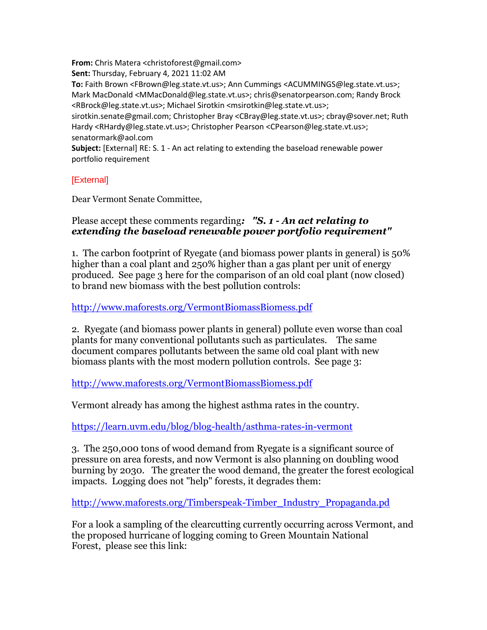**From:** Chris Matera <christoforest@gmail.com>

**Sent:** Thursday, February 4, 2021 11:02 AM **To:** Faith Brown <FBrown@leg.state.vt.us>; Ann Cummings <ACUMMINGS@leg.state.vt.us>; Mark MacDonald <MMacDonald@leg.state.vt.us>; chris@senatorpearson.com; Randy Brock <RBrock@leg.state.vt.us>; Michael Sirotkin <msirotkin@leg.state.vt.us>;

sirotkin.senate@gmail.com; Christopher Bray <CBray@leg.state.vt.us>; cbray@sover.net; Ruth Hardy <RHardy@leg.state.vt.us>; Christopher Pearson <CPearson@leg.state.vt.us>; senatormark@aol.com

**Subject:** [External] RE: S. 1 - An act relating to extending the baseload renewable power portfolio requirement

## [External]

Dear Vermont Senate Committee,

## Please accept these comments regarding*: "S. 1 - An act relating to extending the baseload renewable power portfolio requirement"*

1. The carbon footprint of Ryegate (and biomass power plants in general) is 50% higher than a coal plant and 250% higher than a gas plant per unit of energy produced. See page 3 here for the comparison of an old coal plant (now closed) to brand new biomass with the best pollution controls:

## <http://www.maforests.org/VermontBiomassBiomess.pdf>

2. Ryegate (and biomass power plants in general) pollute even worse than coal plants for many conventional pollutants such as particulates. The same document compares pollutants between the same old coal plant with new biomass plants with the most modern pollution controls. See page 3:

<http://www.maforests.org/VermontBiomassBiomess.pdf>

Vermont already has among the highest asthma rates in the country.

<https://learn.uvm.edu/blog/blog-health/asthma-rates-in-vermont>

3. The 250,000 tons of wood demand from Ryegate is a significant source of pressure on area forests, and now Vermont is also planning on doubling wood burning by 2030. The greater the wood demand, the greater the forest ecological impacts. Logging does not "help" forests, it degrades them:

[http://www.maforests.org/Timberspeak-Timber\\_Industry\\_Propaganda.pd](http://www.maforests.org/Timberspeak-Timber_Industry_Propaganda.pd)

For a look a sampling of the clearcutting currently occurring across Vermont, and the proposed hurricane of logging coming to Green Mountain National Forest, please see this link: